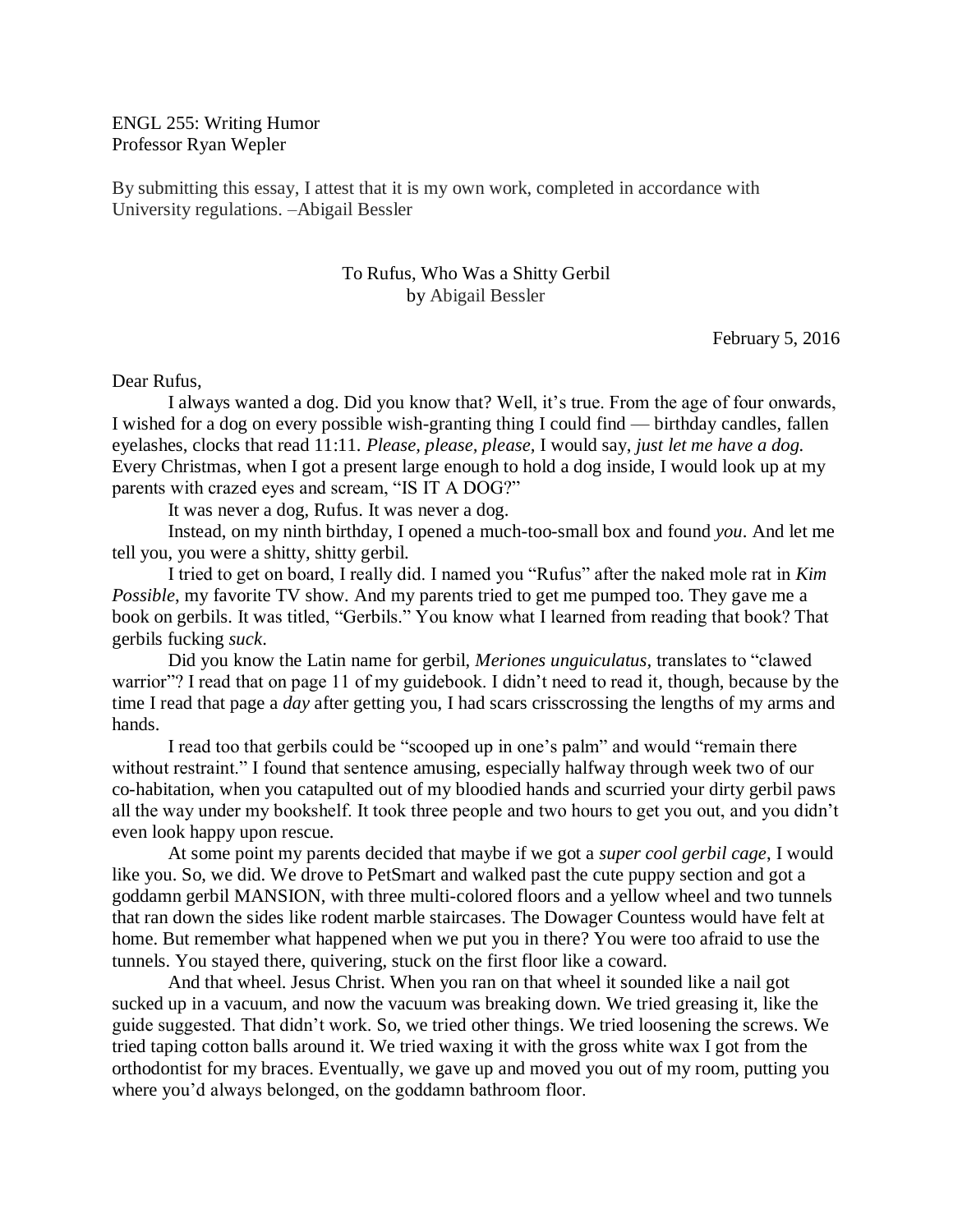ENGL 255: Writing Humor Professor Ryan Wepler

By submitting this essay, I attest that it is my own work, completed in accordance with University regulations. –Abigail Bessler

## To Rufus, Who Was a Shitty Gerbil by Abigail Bessler

February 5, 2016

## Dear Rufus,

I always wanted a dog. Did you know that? Well, it's true. From the age of four onwards, I wished for a dog on every possible wish-granting thing I could find — birthday candles, fallen eyelashes, clocks that read 11:11. *Please, please, please,* I would say, *just let me have a dog.* Every Christmas, when I got a present large enough to hold a dog inside, I would look up at my parents with crazed eyes and scream, "IS IT A DOG?"

It was never a dog, Rufus. It was never a dog.

Instead, on my ninth birthday, I opened a much-too-small box and found *you*. And let me tell you, you were a shitty, shitty gerbil.

I tried to get on board, I really did. I named you "Rufus" after the naked mole rat in *Kim Possible*, my favorite TV show*.* And my parents tried to get me pumped too. They gave me a book on gerbils. It was titled, "Gerbils." You know what I learned from reading that book? That gerbils fucking *suck*.

Did you know the Latin name for gerbil, *Meriones unguiculatus,* translates to "clawed warrior"? I read that on page 11 of my guidebook. I didn't need to read it, though, because by the time I read that page a *day* after getting you, I had scars crisscrossing the lengths of my arms and hands.

I read too that gerbils could be "scooped up in one's palm" and would "remain there without restraint." I found that sentence amusing, especially halfway through week two of our co-habitation, when you catapulted out of my bloodied hands and scurried your dirty gerbil paws all the way under my bookshelf. It took three people and two hours to get you out, and you didn't even look happy upon rescue.

At some point my parents decided that maybe if we got a *super cool gerbil cage*, I would like you. So, we did. We drove to PetSmart and walked past the cute puppy section and got a goddamn gerbil MANSION, with three multi-colored floors and a yellow wheel and two tunnels that ran down the sides like rodent marble staircases. The Dowager Countess would have felt at home. But remember what happened when we put you in there? You were too afraid to use the tunnels. You stayed there, quivering, stuck on the first floor like a coward.

And that wheel. Jesus Christ. When you ran on that wheel it sounded like a nail got sucked up in a vacuum, and now the vacuum was breaking down. We tried greasing it, like the guide suggested. That didn't work. So, we tried other things. We tried loosening the screws. We tried taping cotton balls around it. We tried waxing it with the gross white wax I got from the orthodontist for my braces. Eventually, we gave up and moved you out of my room, putting you where you'd always belonged, on the goddamn bathroom floor.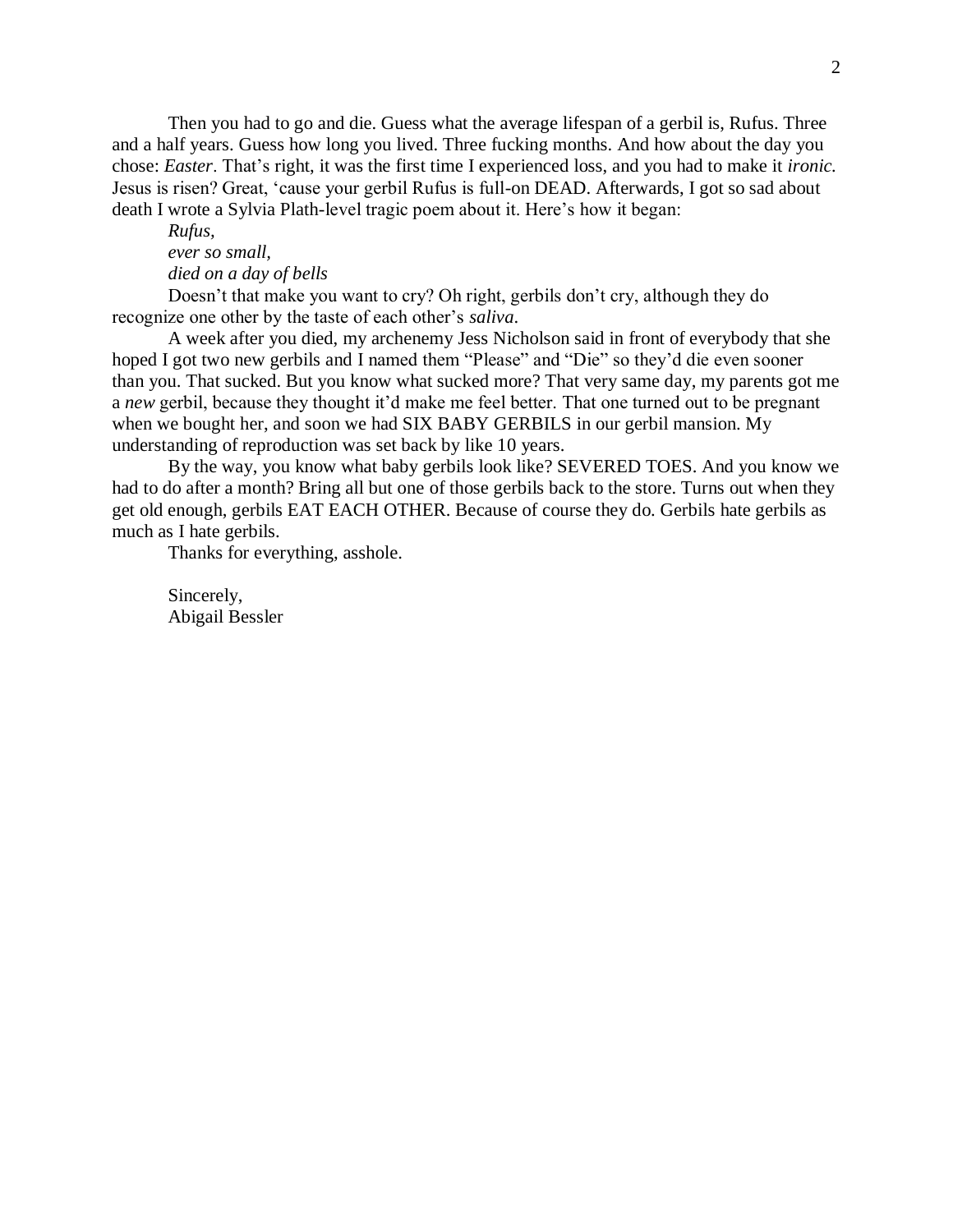Then you had to go and die. Guess what the average lifespan of a gerbil is, Rufus. Three and a half years. Guess how long you lived. Three fucking months. And how about the day you chose: *Easter*. That's right, it was the first time I experienced loss, and you had to make it *ironic.*  Jesus is risen? Great, 'cause your gerbil Rufus is full-on DEAD. Afterwards, I got so sad about death I wrote a Sylvia Plath-level tragic poem about it. Here's how it began:

## *Rufus, ever so small, died on a day of bells*

Doesn't that make you want to cry? Oh right, gerbils don't cry, although they do recognize one other by the taste of each other's *saliva*.

A week after you died, my archenemy Jess Nicholson said in front of everybody that she hoped I got two new gerbils and I named them "Please" and "Die" so they'd die even sooner than you. That sucked. But you know what sucked more? That very same day, my parents got me a *new* gerbil, because they thought it'd make me feel better. That one turned out to be pregnant when we bought her, and soon we had SIX BABY GERBILS in our gerbil mansion. My understanding of reproduction was set back by like 10 years.

By the way, you know what baby gerbils look like? SEVERED TOES. And you know we had to do after a month? Bring all but one of those gerbils back to the store. Turns out when they get old enough, gerbils EAT EACH OTHER. Because of course they do. Gerbils hate gerbils as much as I hate gerbils.

Thanks for everything, asshole.

Sincerely, Abigail Bessler